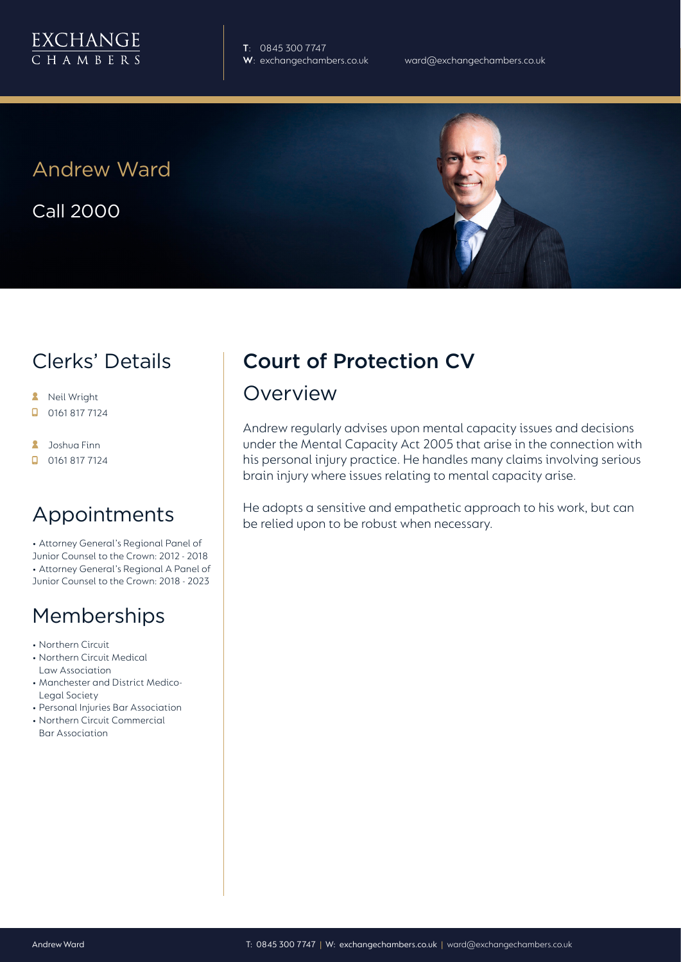

**T**: 0845 300 7747

Andrew Ward

Call 2000



- **A** Neil Wright
- 0161 817 7124  $\Box$
- **A** Joshua Finn
- $\Box$  0161 817 7124

### Appointments

• Attorney General's Regional Panel of Junior Counsel to the Crown: 2012 - 2018 • Attorney General's Regional A Panel of Junior Counsel to the Crown: 2018 - 2023

### Memberships

- Northern Circuit
- Northern Circuit Medical Law Association
- Manchester and District Medico-Legal Society
- Personal Injuries Bar Association
- Northern Circuit Commercial Bar Association

# Court of Protection CV

### Overview

Andrew regularly advises upon mental capacity issues and decisions under the Mental Capacity Act 2005 that arise in the connection with his personal injury practice. He handles many claims involving serious brain injury where issues relating to mental capacity arise.

He adopts a sensitive and empathetic approach to his work, but can be relied upon to be robust when necessary.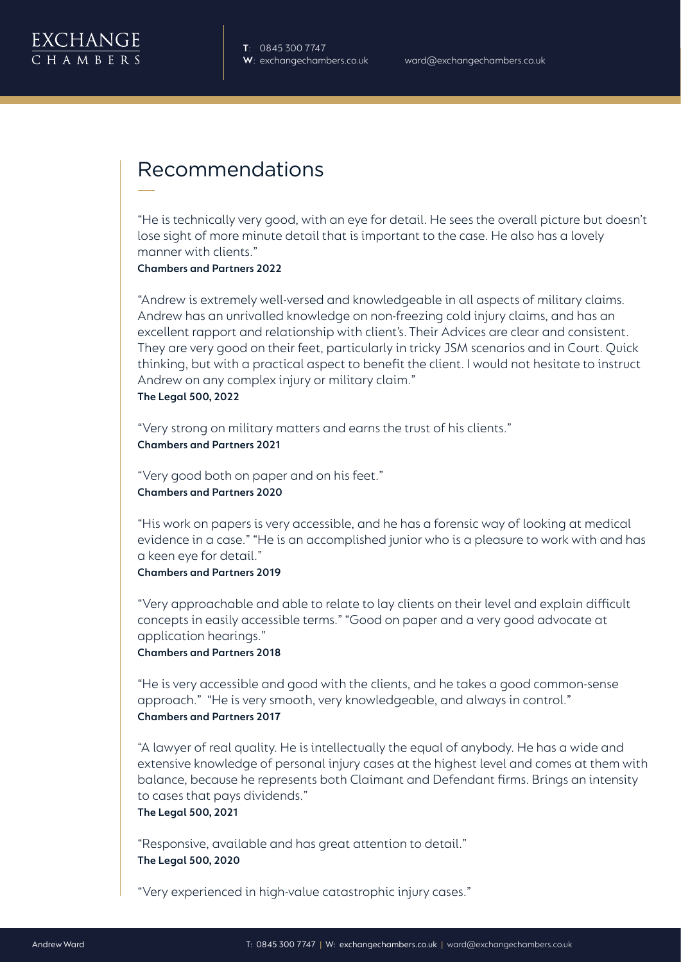## Recommendations

"He is technically very good, with an eye for detail. He sees the overall picture but doesn't lose sight of more minute detail that is important to the case. He also has a lovely manner with clients."

**Chambers and Partners 2022**

"Andrew is extremely well-versed and knowledgeable in all aspects of military claims. Andrew has an unrivalled knowledge on non-freezing cold injury claims, and has an excellent rapport and relationship with client's. Their Advices are clear and consistent. They are very good on their feet, particularly in tricky JSM scenarios and in Court. Quick thinking, but with a practical aspect to benefit the client. I would not hesitate to instruct Andrew on any complex injury or military claim." **The Legal 500, 2022**

"Very strong on military matters and earns the trust of his clients." **Chambers and Partners 2021**

"Very good both on paper and on his feet." **Chambers and Partners 2020**

"His work on papers is very accessible, and he has a forensic way of looking at medical evidence in a case." "He is an accomplished junior who is a pleasure to work with and has a keen eye for detail."

#### **Chambers and Partners 2019**

"Very approachable and able to relate to lay clients on their level and explain difficult concepts in easily accessible terms." "Good on paper and a very good advocate at application hearings."

#### **Chambers and Partners 2018**

"He is very accessible and good with the clients, and he takes a good common-sense approach." "He is very smooth, very knowledgeable, and always in control." **Chambers and Partners 2017**

"A lawyer of real quality. He is intellectually the equal of anybody. He has a wide and extensive knowledge of personal injury cases at the highest level and comes at them with balance, because he represents both Claimant and Defendant firms. Brings an intensity to cases that pays dividends."

**The Legal 500, 2021**

"Responsive, available and has great attention to detail." **The Legal 500, 2020**

"Very experienced in high-value catastrophic injury cases."